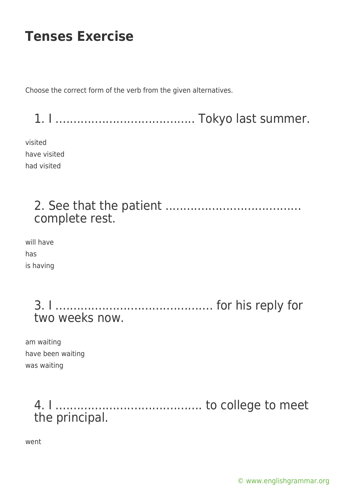Choose the correct form of the verb from the given alternatives.

1. I ....................................... Tokyo last summer.

visited have visited had visited

> 2. See that the patient ...................................... complete rest.

will have has is having

> 3. I ............................................ for his reply for two weeks now.

am waiting have been waiting was waiting

> 4. I ......................................... to college to meet the principal.

went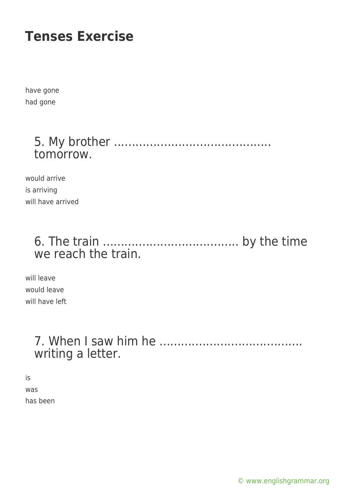have gone had gone

> 5. My brother ............................................ tomorrow.

would arrive is arriving will have arrived

### 6. The train ...................................... by the time we reach the train.

will leave would leave will have left

### 7. When I saw him he ........................................ writing a letter.

is was has been

[© www.englishgrammar.org](https://www.englishgrammar.org/)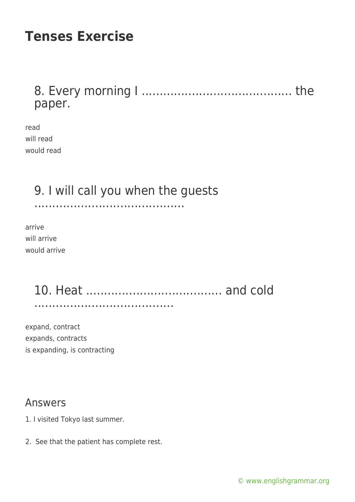### 8. Every morning I .......................................... the paper.

read will read would read

## 9. I will call you when the guests

..........................................

arrive will arrive would arrive

#### 10. Heat ...................................... and cold .......................................

expand, contract expands, contracts is expanding, is contracting

#### Answers

- 1. I visited Tokyo last summer.
- 2. See that the patient has complete rest.